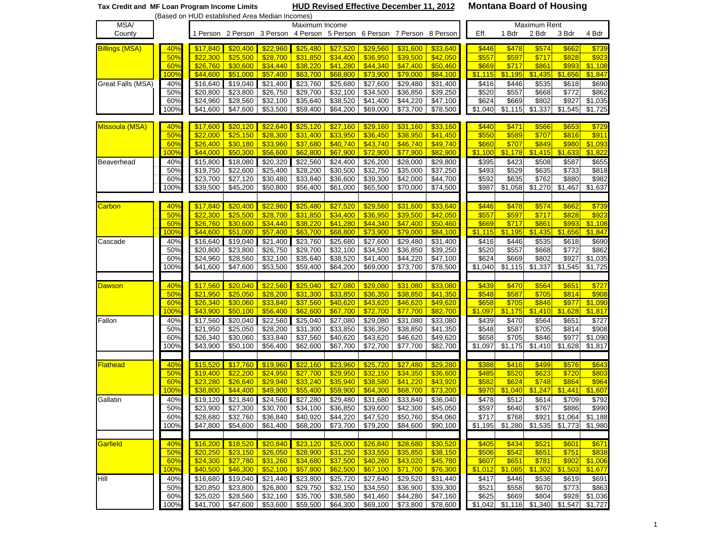| <b>HUD Revised Effective December 11, 2012</b><br>Tax Credit and MF Loan Program Income Limits<br>(Based on HUD established Area Median Incomes) |             |                      |                                                                         |                      |                      |                      |                               |                      | <b>Montana Board of Housing</b> |                  |                  |                |                                     |                    |
|--------------------------------------------------------------------------------------------------------------------------------------------------|-------------|----------------------|-------------------------------------------------------------------------|----------------------|----------------------|----------------------|-------------------------------|----------------------|---------------------------------|------------------|------------------|----------------|-------------------------------------|--------------------|
| MSA/                                                                                                                                             |             |                      |                                                                         |                      | <b>Maximum Rent</b>  |                      |                               |                      |                                 |                  |                  |                |                                     |                    |
| County                                                                                                                                           |             |                      | 1 Person 2 Person 3 Person 4 Person 5 Person 6 Person 7 Person 8 Person |                      | Maximum Income       |                      |                               |                      |                                 | Eff.             | 1 Bdr            | 2 Bdr          | 3 Bdr                               | 4 Bdr              |
|                                                                                                                                                  |             |                      |                                                                         |                      |                      |                      |                               |                      |                                 |                  |                  |                |                                     |                    |
| <b>Billings (MSA)</b>                                                                                                                            | 40%         | \$17,840             | \$20,400                                                                | \$22,960             | \$25,480             | \$27,520             | \$29,560                      | \$31,600             | \$33,640                        | \$446            | \$478            | \$574          | \$662                               | \$739              |
|                                                                                                                                                  | 50%         | \$22,300             | \$25,500                                                                | \$28,700             | \$31,850             | \$34,400             | \$36,950                      | \$39,500             | \$42,050                        | \$557            | \$597            | \$717          | \$828                               | \$923              |
|                                                                                                                                                  | 60%         | \$26,760             | \$30,600                                                                | \$34,440             | \$38,220             | \$41,280             | \$44,340                      | \$47,400             | \$50,460                        | \$669            | \$717            | \$861          | \$993                               | \$1,108            |
|                                                                                                                                                  | 100%        | \$44,600             | \$51,000                                                                | \$57,400             | \$63,700             | \$68,800             | \$73,900                      | \$79,000             | \$84,100                        | \$1,115          | \$1,195          | \$1,435        | \$1,656                             | \$1,847            |
| Great Falls (MSA)                                                                                                                                | 40%         | \$16,640             | \$19,040                                                                | \$21,400             | \$23,760             | \$25,680             | \$27,600                      | \$29,480             | \$31,400                        | \$416            | \$446            | \$535          | \$618                               | \$690              |
|                                                                                                                                                  | 50%         | \$20,800             | \$23,800                                                                | \$26,750             | \$29,700             | \$32,100             | \$34,500                      | \$36,850             | \$39,250                        | \$520            | \$557            | \$668          | \$772                               | \$862              |
|                                                                                                                                                  | 60%         | \$24,960             | \$28,560                                                                | \$32,100             | \$35,640             | \$38,520             | \$41,400                      | \$44,220             | \$47,100                        | \$624            | \$669            | \$802          | \$927                               | \$1,035            |
|                                                                                                                                                  | 100%        | \$41,600             | \$47,600                                                                | \$53,500             | \$59,400             | \$64,200             | \$69,000                      | \$73,700             | \$78,500                        | \$1,040          | \$1,115          | \$1,337        | \$1,545                             | \$1,725            |
|                                                                                                                                                  |             |                      |                                                                         |                      |                      |                      |                               |                      |                                 |                  |                  |                |                                     |                    |
| <b>Missoula (MSA)</b>                                                                                                                            | 40%         | \$17,600             | \$20,120                                                                | \$22,640             | \$25,120             | \$27,160             | \$29,160                      | \$31,160             | \$33,160                        | \$440            | \$471            | \$566          | \$653                               | \$729              |
|                                                                                                                                                  | 50%         | \$22,000             | \$25,150                                                                | \$28,300<br>\$33,960 | \$31,400             | \$33,950<br>\$40,740 | \$36,450                      | \$38,950             | \$41,450                        | \$550            | \$589            | \$707<br>\$849 | \$816                               | \$911              |
|                                                                                                                                                  | 60%<br>100% | \$26,400<br>\$44,000 | \$30,180<br>\$50,300                                                    | \$56,600             | \$37,680<br>\$62,800 | \$67,900             | \$43,740<br>\$72,900          | \$46,740<br>\$77,900 | \$49,740<br>\$82,900            | \$660<br>\$1,100 | \$707<br>\$1,178 | \$1,415        | \$980<br>\$1,633                    | \$1,093<br>\$1,822 |
|                                                                                                                                                  |             |                      |                                                                         |                      |                      |                      |                               |                      |                                 |                  |                  |                |                                     |                    |
| Beaverhead                                                                                                                                       | 40%<br>50%  | \$15,800<br>\$19,750 | \$18,080<br>\$22,600                                                    | \$20,320<br>\$25,400 | \$22,560<br>328,200  | \$24,400<br>\$30,500 | \$26,200<br>\$32,750          | \$28,000<br>\$35,000 | \$29,800<br>\$37,250            | \$395<br>\$493   | \$423<br>\$529   | \$508<br>\$635 | \$587<br>\$733                      | \$655<br>\$818     |
|                                                                                                                                                  | 60%         | \$23,700             | \$27,120                                                                | \$30,480             | \$33,840             | \$36,600             | \$39,300                      | \$42,000             | \$44,700                        | \$592            | \$635            | \$762          | \$880                               | \$982              |
|                                                                                                                                                  | 100%        | \$39,500             | \$45,200                                                                | \$50,800             | \$56,400             | \$61,000             | \$65,500                      | \$70,000             | \$74,500                        | \$987            | \$1,058          | \$1,270        | \$1,467                             | \$1,637            |
|                                                                                                                                                  |             |                      |                                                                         |                      |                      |                      |                               |                      |                                 |                  |                  |                |                                     |                    |
| Carbon                                                                                                                                           | 40%         | \$17,840             | \$20,400                                                                | \$22,960             | \$25,480             | \$27,520             | \$29,560                      | \$31,600             | \$33,640                        | \$446            | \$478            | \$574          | \$662                               | \$739              |
|                                                                                                                                                  | 50%         | \$22,300             | \$25,500                                                                | \$28,700             | \$31,850             | \$34,400             | \$36,950                      | \$39,500             | \$42,050                        | \$557            | \$597            | \$717          | \$828                               | \$923              |
|                                                                                                                                                  | 60%         | \$26,760             | \$30,600                                                                | \$34,440             | \$38,220             | \$41,280             | \$44,340                      | \$47,400             | \$50,460                        | \$669            | \$717            | \$861          | \$993                               | \$1,108            |
|                                                                                                                                                  | 100%        | \$44,600             | \$51,000                                                                | \$57,400             | \$63,700             | \$68,800             | \$73,900                      | \$79,000             | \$84,100                        | \$1,115          | \$1,195          | \$1,435        | \$1,656                             | \$1,847            |
| Cascade                                                                                                                                          | 40%         | \$16,640             | \$19,040                                                                | \$21,400             | \$23,760             | \$25,680             | \$27,600                      | \$29,480             | \$31,400                        | \$416            | \$446            | \$535          | \$618                               | \$690              |
|                                                                                                                                                  | 50%         | \$20,800             | $\overline{$}23,800$                                                    | \$26,750             | \$29,700             | \$32,100             | \$34,500                      | \$36,850             | \$39,250                        | \$520            | \$557            | \$668          | \$772                               | \$862              |
|                                                                                                                                                  | 60%         | \$24,960             | \$28,560                                                                | \$32,100             | \$35,640             | \$38,520             | $\sqrt{$41,400}$              | \$44,220             | \$47,100                        | \$624            | \$669            | \$802          | \$927                               | \$1,035            |
|                                                                                                                                                  | 100%        | \$41,600             | \$47,600                                                                | \$53,500             | \$59,400             | \$64,200             | \$69,000                      | \$73,700             | \$78,500                        | \$1,040          | \$1,115          | \$1,337        | \$1,545                             | \$1,725            |
|                                                                                                                                                  |             |                      |                                                                         |                      |                      |                      |                               |                      |                                 |                  |                  |                |                                     |                    |
| <b>Dawson</b>                                                                                                                                    | 40%         | \$17,560             | \$20,040                                                                | \$22,560             | \$25,040             | \$27,080             | \$29,080                      | \$31,080             | \$33,080                        | \$439            | \$470            | \$564          | \$651                               | \$727              |
|                                                                                                                                                  | 50%         | \$21,950             | \$25,050                                                                | \$28,200             | \$31,300             | \$33,850             | \$36,350                      | \$38,850             | \$41,350                        | \$548            | \$587            | \$705          | \$814                               | \$908              |
|                                                                                                                                                  | 60%         | \$26,340             | \$30,060                                                                | \$33,840             | \$37,560             | \$40,620             | \$43,620                      | \$46,620             | \$49,620                        | \$658            | \$705            | \$846          | \$977                               | \$1,090            |
|                                                                                                                                                  | 100%        | \$43,900             | \$50,100                                                                | \$56,400             | \$62,600             | \$67,700             | \$72,700                      | \$77,700             | \$82,700                        | \$1,097          | \$1,175          | \$1,410        | \$1,628                             | \$1,817            |
| Fallon                                                                                                                                           | 40%         | \$17,560             | \$20,040                                                                | \$22,560             | \$25,040             | \$27,080             | \$29,080                      | \$31,080             | \$33,080                        | \$439            | \$470            | \$564          | \$651                               | \$727              |
|                                                                                                                                                  | 50%         | \$21,950             | \$25,050                                                                | \$28,200             | \$31,300             | \$33,850             | \$36,350                      | \$38,850             | \$41,350                        | \$548            | \$587            | \$705          | \$814                               | \$908              |
|                                                                                                                                                  | 60%         | \$26,340             | \$30,060                                                                | \$33,840             | \$37,560             | \$40,620             | \$43,620                      | \$46,620             | \$49,620                        | \$658            | \$705            | \$846          | \$977                               | \$1,090            |
|                                                                                                                                                  | 100%        | \$43,900             | \$50,100                                                                | \$56,400             | \$62,600             | \$67,700             | \$72,700                      | \$77,700             | \$82,700                        | \$1,097          | \$1,175          | \$1,410        | \$1,628                             | \$1,817            |
|                                                                                                                                                  |             |                      |                                                                         |                      |                      |                      |                               |                      |                                 |                  |                  |                |                                     |                    |
| <b>Flathead</b>                                                                                                                                  | 40%         | \$15,520             | \$17,760                                                                | \$19,960             | \$22,160             | \$23,960             | \$25,720                      | \$27,480             | \$29,280                        | \$388            | \$416            | \$499          | \$576                               | \$643              |
|                                                                                                                                                  | 50%         | \$19,400             | \$22,200                                                                | \$24,950             | \$27,700             | \$29,950             | \$32,150                      | \$34,350             | \$36,600                        | \$485            | \$520            | \$623          | \$720                               | \$803              |
|                                                                                                                                                  | 60%         | \$23.280             | \$26,640                                                                | \$29,940             | \$33,240             | \$35,940             | \$38,580                      | \$41,220             | \$43,920                        | \$582            | \$624            | \$748          | \$864                               | \$964              |
|                                                                                                                                                  | 100%        | \$38,800             | \$44,400                                                                | \$49,900             | \$55,400             | \$59,900             | \$64,300                      | \$68,700             | \$73,200                        | \$970            | \$1,040          | \$1,247        | \$1,441                             | \$1,607            |
| Gallatin                                                                                                                                         | 40%         |                      | \$19,120 \$21,840 \$24,560                                              |                      |                      |                      | $$27,280$ $$29,480$ $$31,680$ | \$33,840             | \$36,040                        | \$478            | \$512            | \$614          | \$709                               | \$792              |
|                                                                                                                                                  | 50%         | \$23,900             | \$27,300                                                                | \$30,700             | \$34,100             | \$36,850             | \$39,600                      | \$42,300             | \$45,050                        | \$597            | \$640            | \$767          | \$886                               | \$990              |
|                                                                                                                                                  | 60%         | \$28,680             | \$32,760                                                                | \$36,840             | \$40,920             | \$44,220             | \$47,520                      | \$50,760             | \$54,060                        | \$717            | \$768            | \$921          | \$1,064                             | \$1,188            |
|                                                                                                                                                  | 100%        | \$47,800             | \$54,600                                                                | \$61,400             | \$68,200             | \$73,700             | \$79,200                      | \$84,600             | \$90,100                        | \$1,195          | \$1,280          | \$1,535        | \$1,773                             | \$1,980            |
|                                                                                                                                                  |             |                      |                                                                         |                      |                      |                      |                               |                      |                                 |                  |                  |                |                                     |                    |
| Garfield                                                                                                                                         | 40%         | \$16,200             | \$18,520                                                                | \$20,840             |                      | $$23,120$ \$25,000   | \$26,840                      | \$28,680             | \$30,520                        | \$405            | \$434            | \$521          | \$601                               | \$671              |
|                                                                                                                                                  | 50%         | \$20,250             | \$23,150                                                                | \$26,050             | $$28,900$            | \$31,250             | \$33,550                      | \$35,850             | \$38,150                        | \$506            | \$542            | \$651          | \$751                               | \$838              |
|                                                                                                                                                  | 60%         | \$24,300             | \$27,780                                                                | \$31,260             | \$34,680             | \$37,500             | \$40,260                      | \$43,020             | \$45,780                        | \$607            | \$651            | \$781          | \$902                               | \$1,006            |
|                                                                                                                                                  | 100%        | \$40,500             | \$46,300                                                                | \$52,100             | \$57,800             | \$62,500             | \$67,100                      | \$71,700             | \$76,300                        | \$1,012          | \$1,085          | \$1,302        | \$1,503                             | \$1,677            |
| Hill                                                                                                                                             | 40%         | \$16,680             | \$19,040                                                                | \$21,440             | \$23,800             | \$25,720             | \$27,640                      | $\sqrt{$29,520}$     | \$31,440                        | \$417            | \$446            | \$536          | \$619                               | \$691              |
|                                                                                                                                                  | 50%         | \$20,850             | \$23,800                                                                | \$26,800             | \$29,750             | \$32,150             | \$34,550                      | \$36,900             | \$39,300                        | \$521            | \$558            | \$670          | \$773                               | \$863              |
|                                                                                                                                                  | 60%         | \$25,020             | \$28,560                                                                | \$32,160             | \$35,700             | \$38,580             | \$41,460                      | \$44,280             | \$47,160                        | \$625            | \$669            | \$804          | \$928                               | \$1,036            |
|                                                                                                                                                  | 100%        | \$41,700             |                                                                         | \$47,600 \$53,600    | \$59,500             | \$64,300             | \$69,100                      | \$73,800             | \$78,600                        | \$1,042          |                  |                | $$1,116$ $$1,340$ $$1,547$ $$1,727$ |                    |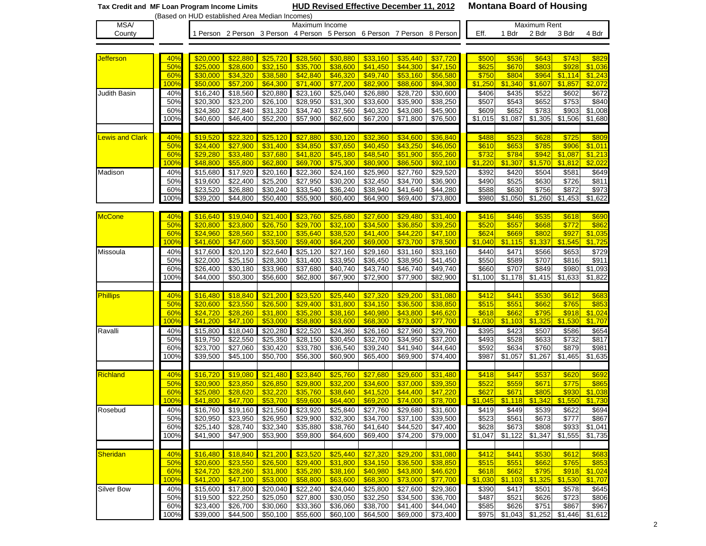|                              |             | HUD Revised Effective December 11, 2012<br>Tax Credit and MF Loan Program Income Limits |                      |                      |                              |                                  |                                                                         |                                  | <b>Montana Board of Housing</b> |                  |                   |                   |                |                    |  |  |
|------------------------------|-------------|-----------------------------------------------------------------------------------------|----------------------|----------------------|------------------------------|----------------------------------|-------------------------------------------------------------------------|----------------------------------|---------------------------------|------------------|-------------------|-------------------|----------------|--------------------|--|--|
|                              |             | (Based on HUD established Area Median Incomes)                                          |                      |                      |                              |                                  |                                                                         |                                  |                                 |                  |                   |                   |                |                    |  |  |
| MSA/                         |             |                                                                                         |                      |                      | Maximum Income               |                                  |                                                                         |                                  |                                 |                  |                   | Maximum Rent      |                |                    |  |  |
| County                       |             |                                                                                         |                      |                      |                              |                                  | 1 Person 2 Person 3 Person 4 Person 5 Person 6 Person 7 Person 8 Person |                                  |                                 | Eff.             | 1 Bdr             | 2 Bdr             | 3 Bdr          | 4 Bdr              |  |  |
|                              |             |                                                                                         |                      |                      |                              |                                  |                                                                         |                                  |                                 |                  |                   |                   |                |                    |  |  |
| <b>Jefferson</b>             | 40%         | \$20,000                                                                                | \$22,880             | \$25,720             | \$28,560                     | \$30,880                         | \$33,160                                                                | \$35,440                         | \$37,720                        | \$500            | \$536             | \$643             | \$743          | \$829              |  |  |
|                              | 50%         | \$25,000                                                                                | \$28,600             | \$32,150             | \$35,700                     | \$38,600                         | \$41,450                                                                | \$44,300                         | \$47,150                        | \$625            | \$670             | \$803             | \$928          | \$1,036            |  |  |
|                              | 60%         | \$30,000                                                                                | \$34,320             | \$38,580             | \$42,840                     | \$46,320                         | \$49,740                                                                | \$53,160                         | \$56,580                        | \$750            | \$804             | \$964             | \$1,114        | \$1,243            |  |  |
|                              | 100%        | \$50,000                                                                                | \$57,200             | \$64,300             | \$71,400                     | \$77,200                         | \$82,900                                                                | \$88,600                         | \$94,300                        | \$1,250          | \$1,340           | \$1,607           | \$1,857        | \$2,072            |  |  |
| Judith Basin                 | 40%         | \$16,240                                                                                | \$18,560             | \$20,880             | \$23,160                     | \$25,040                         | \$26,880                                                                | \$28,720                         | \$30,600                        | \$406            | \$435             | \$522             | \$602          | \$672              |  |  |
|                              | 50%         | \$20,300                                                                                | \$23,200             | \$26,100             | \$28,950                     | \$31,300                         | \$33,600                                                                | \$35,900                         | \$38,250                        | \$507            | \$543             | \$652             | \$753          | \$840              |  |  |
|                              | 60%         | \$24,360                                                                                | \$27,840             | \$31,320             | \$34,740                     | \$37,560                         | \$40,320                                                                | \$43,080                         | \$45,900                        | \$609            | \$652             | \$783             | \$903          | \$1,008            |  |  |
|                              | 100%        | \$40,600                                                                                | \$46,400             | \$52,200             | \$57,900                     | \$62,600                         | \$67,200                                                                | \$71,800                         | \$76,500                        | \$1,015          | \$1,087           | \$1,305           | \$1,506        | \$1,680            |  |  |
|                              |             |                                                                                         |                      |                      |                              |                                  |                                                                         |                                  |                                 |                  |                   |                   |                |                    |  |  |
| <b><u>ewis and Clark</u></b> | 40%         | \$19,520                                                                                | \$22,320             | \$25,120             | \$27,880                     | \$30,120                         | \$32,360                                                                | \$34,600                         | \$36,840                        | \$488            | \$523             | \$628             | \$725          | \$809              |  |  |
|                              | 50%         | \$24,400                                                                                | \$27,900             | \$31,400             | \$34,850                     | \$37,650                         | \$40,450                                                                | \$43,250                         | \$46,050                        | \$610            | \$653             | \$785             | \$906          | \$1,011            |  |  |
|                              | 60%         | \$29,280                                                                                | \$33,480             | \$37,680             | \$41,820                     | \$45,180                         | \$48,540                                                                | \$51,900                         | \$55,260                        | \$732            | \$784             | \$942             | \$1,087        | \$1,213            |  |  |
|                              | 100%        | \$48,800                                                                                | \$55,800             | \$62,800             | \$69,700                     | \$75,300                         | \$80,900                                                                | \$86,500                         | \$92,100                        | \$1,220          | \$1,307           | \$1,570           | \$1,812        | \$2,022            |  |  |
| Madison                      | 40%         | \$15,680                                                                                | \$17,920             | \$20,160             | \$22,360                     | \$24,160                         | \$25,960                                                                | \$27,760                         | \$29,520                        | \$392            | \$420             | \$504             | \$581          | \$649              |  |  |
|                              | 50%         | \$19,600                                                                                | \$22,400             | \$25,200             | \$27,950                     | \$30,200                         | \$32,450                                                                | \$34,700                         | \$36,900                        | \$490            | \$525             | \$630             | \$726          | \$811              |  |  |
|                              | 60%         | \$23,520                                                                                | \$26,880             | \$30,240             | \$33,540                     | \$36,240                         | \$38,940                                                                | \$41,640                         | \$44,280                        | \$588            | \$630             | $\sqrt{$756}$     | \$872          | \$973              |  |  |
|                              | 100%        | \$39,200                                                                                | \$44,800             | \$50,400             | \$55,900                     | \$60,400                         | \$64,900                                                                | \$69,400                         | \$73,800                        | \$980            | \$1,050           | \$1,260           | \$1,453        | $\sqrt{31,622}$    |  |  |
|                              |             |                                                                                         |                      |                      |                              |                                  |                                                                         |                                  |                                 |                  |                   |                   |                |                    |  |  |
| <b>McCone</b>                | 40%         | \$16,640                                                                                | \$19,040             | \$21,400             | \$23,760                     | \$25,680                         | \$27,600                                                                | \$29,480                         | \$31,400                        | \$416            | \$446             | \$535             | \$618          | \$690              |  |  |
|                              | 50%         | \$20,800                                                                                | \$23.800             | \$26,750             | \$29,700                     | \$32,100                         | \$34,500                                                                | \$36,850                         | \$39,250                        | \$520            | \$557             | \$668             | \$772          | \$862              |  |  |
|                              | 60%         | \$24,960                                                                                | \$28,560             | \$32,100             | \$35,640                     | \$38,520                         | \$41,400                                                                | \$44,220                         | \$47,100                        | \$624            | \$669             | \$802             | \$927          | \$1,035            |  |  |
|                              | 100%        | \$41,600                                                                                | \$47,600             | \$53,500             | \$59,400                     | \$64,200                         | \$69,000                                                                | \$73,700                         | \$78,500                        | \$1,040          | \$1,115           | \$1,337           | \$1,545        | \$1,725            |  |  |
| Missoula                     | 40%         | \$17,600                                                                                | \$20,120             | \$22,640             | \$25,120                     | \$27,160                         | \$29,160                                                                | \$31,160                         | \$33,160                        | \$440            | \$471             | \$566             | \$653          | \$729              |  |  |
|                              | 50%         | \$22,000                                                                                | \$25,150             | \$28,300             | \$31,400                     | \$33,950                         | \$36,450                                                                | \$38,950                         | \$41,450                        | \$550            | \$589             | \$707             | \$816          | \$911              |  |  |
|                              | 60%<br>100% | \$26,400                                                                                | \$30,180<br>\$50,300 | \$33,960             | \$37,680                     | \$40,740                         | \$43,740<br>\$72,900                                                    | \$46,740                         | \$49,740<br>\$82,900            | \$660<br>\$1,100 | \$707             | \$849<br>\$1,415  | \$980          | \$1,093<br>\$1,822 |  |  |
|                              |             | \$44,000                                                                                |                      | \$56,600             | \$62,800                     | \$67,900                         |                                                                         | \$77,900                         |                                 |                  | \$1,178           |                   | \$1,633        |                    |  |  |
| <b>Phillips</b>              | 40%         | \$16,480                                                                                | \$18,840             | \$21,200             | \$23,520                     | \$25,440                         | \$27,320                                                                | \$29,200                         | \$31,080                        | \$412            | \$441             | \$530             | \$612          | \$683              |  |  |
|                              | 50%         | \$20,600                                                                                | \$23,550             | \$26,500             | \$29,400                     | \$31,800                         | \$34,150                                                                | \$36,500                         | \$38,850                        | \$515            | \$551             | \$662             | \$765          | \$853              |  |  |
|                              | 60%         | \$24,720                                                                                | \$28,260             | \$31,800             | \$35,280                     | \$38,160                         | \$40,980                                                                | \$43,800                         | \$46,620                        | \$618            | \$662             | \$795             | \$918          | \$1,024            |  |  |
|                              | 100%        | \$41,200                                                                                | \$47,100             | \$53,000             | \$58,800                     | \$63,600                         | \$68,300                                                                | \$73,000                         | \$77,700                        | \$1,030          | \$1,103           | \$1,325           | \$1,530        | \$1,707            |  |  |
| Ravalli                      | 40%         | \$15,800                                                                                | \$18,040             | \$20,280             | \$22,520                     | \$24,360                         | \$26,160                                                                | \$27,960                         | \$29,760                        | \$395            | \$423             | \$507             | \$586          | \$654              |  |  |
|                              | 50%         | \$19,750                                                                                | \$22,550             | \$25,350             | \$28,150                     | \$30,450                         | \$32,700                                                                | \$34,950                         | \$37,200                        | \$493            | \$528             | \$633             | \$732          | \$817              |  |  |
|                              | 60%         | \$23,700                                                                                | \$27,060             | \$30,420             | \$33,780                     | \$36,540                         | \$39,240                                                                | \$41,940                         | \$44,640                        | \$592            | \$634             | \$760             | \$879          | \$981              |  |  |
|                              | 100%        | \$39,500                                                                                | \$45,100             | \$50,700             | \$56,300                     | \$60,900                         | \$65,400                                                                | \$69,900                         | \$74,400                        | \$987            | \$1,057           | \$1,267           | \$1,465        | \$1,635            |  |  |
|                              |             |                                                                                         |                      |                      |                              |                                  |                                                                         |                                  |                                 |                  |                   |                   |                |                    |  |  |
| Richland                     | 40%         | \$16,720                                                                                | \$19,080             | \$21,480             | \$23,840                     | \$25,760                         | \$27,680                                                                | \$29,600                         | \$31,480                        | \$418            | \$447             | \$537             | \$620          | \$692              |  |  |
|                              | 50%         | \$20,900                                                                                | \$23,850             | \$26,850             | \$29,800                     | \$32,200                         | \$34,600                                                                | \$37,000                         | \$39,350                        | \$522            | \$559             | \$671             | \$775          | \$865              |  |  |
|                              | 60%         | \$25,080                                                                                | \$28,620             | \$32,220             | \$35,760                     | \$38,640                         | \$41,520                                                                | \$44,400                         | \$47,220                        | \$627            | \$671             | \$805             | \$930          | \$1,038            |  |  |
|                              | 100%        | \$41,800                                                                                | \$47,700             | \$53,700             | \$59,600                     | \$64,400                         | \$69,200                                                                | \$74,000                         | \$78,700                        | \$1.045          |                   | $$1.118$ $$1.342$ | \$1,550        | \$1,730            |  |  |
| Rosebud                      | 40%         | \$16,760                                                                                | \$19,160             | \$21,560             | \$23,920                     | \$25,840                         | \$27,760                                                                | \$29,680                         | \$31,600                        | \$419            | $\overline{$}449$ | \$539             | \$622          | \$694              |  |  |
|                              | 50%         | \$20,950                                                                                | \$23,950             | \$26,950             | \$29,900                     | \$32,300                         | \$34,700                                                                | \$37,100                         | \$39,500                        | \$523            | \$561             | \$673             | \$777          | \$867              |  |  |
|                              | 60%         | \$25,140                                                                                | \$28,740             | \$32,340             | \$35,880                     | $\overline{$}38,760$             | \$41,640                                                                | \$44,520                         | \$47,400                        | \$628            | \$673             | \$808             | \$933          | \$1,041            |  |  |
|                              | 100%        | \$41,900                                                                                | \$47,900             | \$53,900             | \$59,800                     | \$64,600                         | \$69,400                                                                | \$74,200                         | \$79,000                        | \$1,047          | \$1,122           | \$1,347           | \$1,555        | \$1,735            |  |  |
|                              |             |                                                                                         |                      |                      |                              |                                  |                                                                         |                                  |                                 |                  |                   |                   |                |                    |  |  |
| <b>Sheridan</b>              | 40%         | \$16,480                                                                                | \$18,840             | \$21,200             | \$23,520                     | \$25,440                         | \$27,320                                                                | \$29,200                         | \$31,080                        | \$412            | \$441             | \$530             | \$612          | \$683              |  |  |
|                              | 50%         | \$20,600                                                                                | \$23,550             | \$26,500             | \$29,400                     | \$31,800                         | \$34,150                                                                | \$36,500                         | \$38,850                        | \$515            | \$551             | \$662             | \$765          | \$853              |  |  |
|                              | 60%         | \$24,720                                                                                | \$28,260             | \$31,800             | \$35,280                     | \$38,160                         | \$40,980                                                                | \$43,800                         | \$46,620                        | \$618            | \$662             | \$795             | \$918          | \$1,024            |  |  |
|                              | 100%        | \$41,200                                                                                | \$47,100             | \$53,000             | \$58,800                     | \$63,600                         | \$68,300                                                                | \$73,000                         | \$77,700                        | \$1,030          | \$1,103           | \$1,325           | \$1,530        | \$1,707            |  |  |
| <b>Silver Bow</b>            | 40%         | \$15,600<br>\$19,500                                                                    | \$17,800<br>\$22,250 | \$20,040<br>\$25,050 | \$22,240<br>$\sqrt{$27,800}$ | \$24,040<br>$\overline{$}30,050$ | $\overline{$}25,800$                                                    | \$27,600<br>$\overline{$}34,500$ | \$29,360<br>\$36,700            | \$390            | \$417<br>\$521    | \$501             | \$578<br>\$723 | \$645              |  |  |
|                              | 50%<br>60%  | \$23,400                                                                                | \$26,700             | \$30,060             | \$33,360                     | \$36,060                         | \$32,250<br>\$38,700                                                    | \$41,400                         | \$44,040                        | \$487<br>\$585   | \$626             | \$626<br>\$751    | \$867          | \$806<br>\$967     |  |  |
|                              | 100%        | \$39,000                                                                                | \$44,500             | \$50,100             | \$55,600                     | \$60,100                         | \$64,500                                                                | \$69,000                         | \$73,400                        | \$975            | \$1,043           | \$1,252           | \$1,446        | \$1,612            |  |  |
|                              |             |                                                                                         |                      |                      |                              |                                  |                                                                         |                                  |                                 |                  |                   |                   |                |                    |  |  |

2